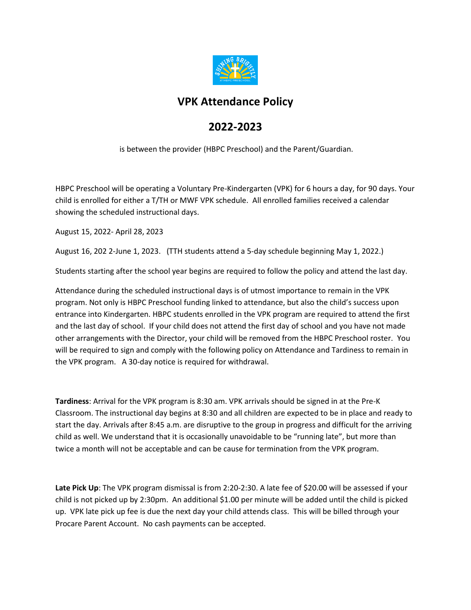

## **VPK Attendance Policy**

## **2022-2023**

is between the provider (HBPC Preschool) and the Parent/Guardian.

HBPC Preschool will be operating a Voluntary Pre-Kindergarten (VPK) for 6 hours a day, for 90 days. Your child is enrolled for either a T/TH or MWF VPK schedule. All enrolled families received a calendar showing the scheduled instructional days.

August 15, 2022- April 28, 2023

August 16, 202 2-June 1, 2023. (TTH students attend a 5-day schedule beginning May 1, 2022.)

Students starting after the school year begins are required to follow the policy and attend the last day.

Attendance during the scheduled instructional days is of utmost importance to remain in the VPK program. Not only is HBPC Preschool funding linked to attendance, but also the child's success upon entrance into Kindergarten. HBPC students enrolled in the VPK program are required to attend the first and the last day of school. If your child does not attend the first day of school and you have not made other arrangements with the Director, your child will be removed from the HBPC Preschool roster. You will be required to sign and comply with the following policy on Attendance and Tardiness to remain in the VPK program. A 30-day notice is required for withdrawal.

**Tardiness**: Arrival for the VPK program is 8:30 am. VPK arrivals should be signed in at the Pre-K Classroom. The instructional day begins at 8:30 and all children are expected to be in place and ready to start the day. Arrivals after 8:45 a.m. are disruptive to the group in progress and difficult for the arriving child as well. We understand that it is occasionally unavoidable to be "running late", but more than twice a month will not be acceptable and can be cause for termination from the VPK program.

Late Pick Up: The VPK program dismissal is from 2:20-2:30. A late fee of \$20.00 will be assessed if your child is not picked up by 2:30pm. An additional \$1.00 per minute will be added until the child is picked up. VPK late pick up fee is due the next day your child attends class. This will be billed through your Procare Parent Account. No cash payments can be accepted.